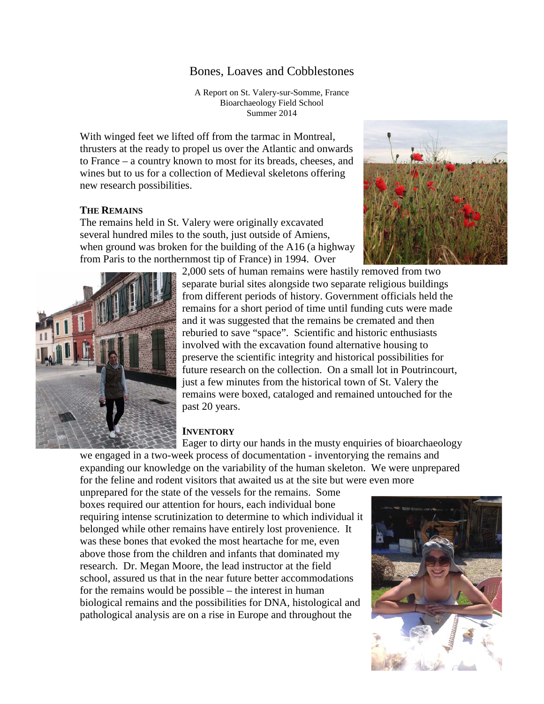# Bones, Loaves and Cobblestones

A Report on St. Valery-sur-Somme, France Bioarchaeology Field School Summer 2014

With winged feet we lifted off from the tarmac in Montreal, thrusters at the ready to propel us over the Atlantic and onwards to France – a country known to most for its breads, cheeses, and wines but to us for a collection of Medieval skeletons offering new research possibilities.

### **THE REMAINS**

The remains held in St. Valery were originally excavated several hundred miles to the south, just outside of Amiens, when ground was broken for the building of the A16 (a highway from Paris to the northernmost tip of France) in 1994. Over





2,000 sets of human remains were hastily removed from two separate burial sites alongside two separate religious buildings from different periods of history. Government officials held the remains for a short period of time until funding cuts were made and it was suggested that the remains be cremated and then reburied to save "space". Scientific and historic enthusiasts involved with the excavation found alternative housing to preserve the scientific integrity and historical possibilities for future research on the collection. On a small lot in Poutrincourt, just a few minutes from the historical town of St. Valery the remains were boxed, cataloged and remained untouched for the past 20 years.

#### **INVENTORY**

Eager to dirty our hands in the musty enquiries of bioarchaeology

we engaged in a two-week process of documentation - inventorying the remains and expanding our knowledge on the variability of the human skeleton. We were unprepared for the feline and rodent visitors that awaited us at the site but were even more

unprepared for the state of the vessels for the remains. Some boxes required our attention for hours, each individual bone requiring intense scrutinization to determine to which individual it belonged while other remains have entirely lost provenience. It was these bones that evoked the most heartache for me, even above those from the children and infants that dominated my research. Dr. Megan Moore, the lead instructor at the field school, assured us that in the near future better accommodations for the remains would be possible – the interest in human biological remains and the possibilities for DNA, histological and pathological analysis are on a rise in Europe and throughout the

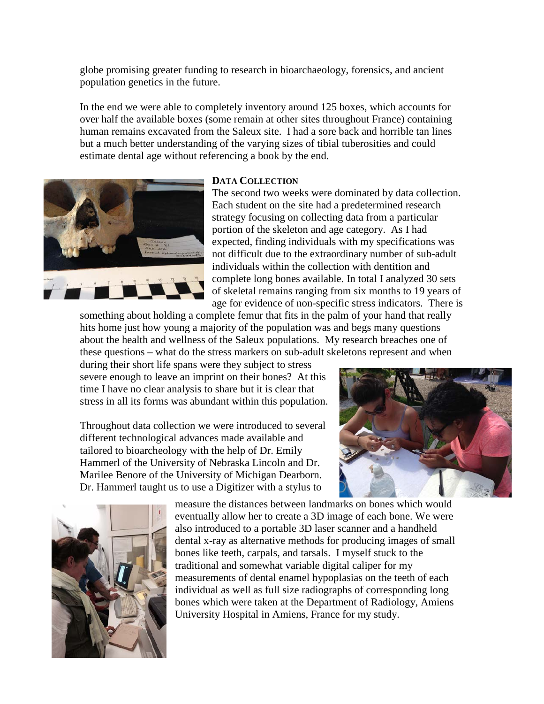globe promising greater funding to research in bioarchaeology, forensics, and ancient population genetics in the future.

In the end we were able to completely inventory around 125 boxes, which accounts for over half the available boxes (some remain at other sites throughout France) containing human remains excavated from the Saleux site. I had a sore back and horrible tan lines but a much better understanding of the varying sizes of tibial tuberosities and could estimate dental age without referencing a book by the end.



#### **DATA COLLECTION**

The second two weeks were dominated by data collection. Each student on the site had a predetermined research strategy focusing on collecting data from a particular portion of the skeleton and age category. As I had expected, finding individuals with my specifications was not difficult due to the extraordinary number of sub-adult individuals within the collection with dentition and complete long bones available. In total I analyzed 30 sets of skeletal remains ranging from six months to 19 years of age for evidence of non-specific stress indicators. There is

something about holding a complete femur that fits in the palm of your hand that really hits home just how young a majority of the population was and begs many questions about the health and wellness of the Saleux populations. My research breaches one of these questions – what do the stress markers on sub-adult skeletons represent and when

during their short life spans were they subject to stress severe enough to leave an imprint on their bones? At this time I have no clear analysis to share but it is clear that stress in all its forms was abundant within this population.

Throughout data collection we were introduced to several different technological advances made available and tailored to bioarcheology with the help of Dr. Emily Hammerl of the University of Nebraska Lincoln and Dr. Marilee Benore of the University of Michigan Dearborn. Dr. Hammerl taught us to use a Digitizer with a stylus to





measure the distances between landmarks on bones which would eventually allow her to create a 3D image of each bone. We were also introduced to a portable 3D laser scanner and a handheld dental x-ray as alternative methods for producing images of small bones like teeth, carpals, and tarsals. I myself stuck to the traditional and somewhat variable digital caliper for my measurements of dental enamel hypoplasias on the teeth of each individual as well as full size radiographs of corresponding long bones which were taken at the Department of Radiology, Amiens University Hospital in Amiens, France for my study.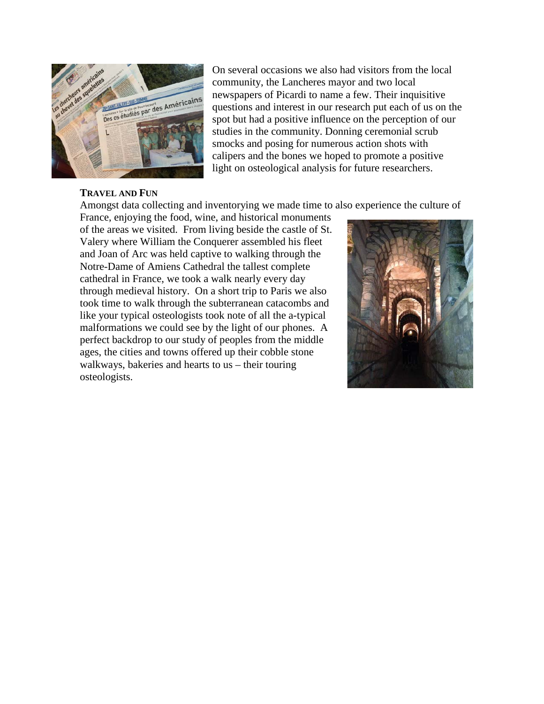

On several occasions we also had visitors from the local community, the Lancheres mayor and two local newspapers of Picardi to name a few. Their inquisitive questions and interest in our research put each of us on the spot but had a positive influence on the perception of our studies in the community. Donning ceremonial scrub smocks and posing for numerous action shots with calipers and the bones we hoped to promote a positive light on osteological analysis for future researchers.

#### **TRAVEL AND FUN**

Amongst data collecting and inventorying we made time to also experience the culture of

France, enjoying the food, wine, and historical monuments of the areas we visited. From living beside the castle of St. Valery where William the Conquerer assembled his fleet and Joan of Arc was held captive to walking through the Notre-Dame of Amiens Cathedral the tallest complete cathedral in France, we took a walk nearly every day through medieval history. On a short trip to Paris we also took time to walk through the subterranean catacombs and like your typical osteologists took note of all the a-typical malformations we could see by the light of our phones. A perfect backdrop to our study of peoples from the middle ages, the cities and towns offered up their cobble stone walkways, bakeries and hearts to us – their touring osteologists.